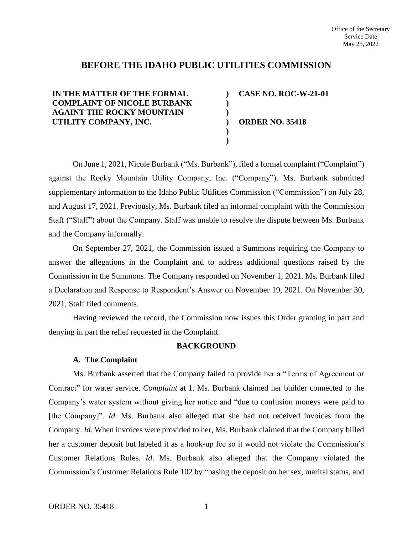# **BEFORE THE IDAHO PUBLIC UTILITIES COMMISSION**

**) ) ) ) ) )**

**IN THE MATTER OF THE FORMAL COMPLAINT OF NICOLE BURBANK AGAINT THE ROCKY MOUNTAIN UTILITY COMPANY, INC.**

**CASE NO. ROC-W-21-01**

**ORDER NO. 35418**

On June 1, 2021, Nicole Burbank ("Ms. Burbank"), filed a formal complaint ("Complaint") against the Rocky Mountain Utility Company, Inc. ("Company"). Ms. Burbank submitted supplementary information to the Idaho Public Utilities Commission ("Commission") on July 28, and August 17, 2021. Previously, Ms. Burbank filed an informal complaint with the Commission Staff ("Staff") about the Company. Staff was unable to resolve the dispute between Ms. Burbank and the Company informally.

On September 27, 2021, the Commission issued a Summons requiring the Company to answer the allegations in the Complaint and to address additional questions raised by the Commission in the Summons. The Company responded on November 1, 2021. Ms. Burbank filed a Declaration and Response to Respondent's Answer on November 19, 2021. On November 30, 2021, Staff filed comments.

Having reviewed the record, the Commission now issues this Order granting in part and denying in part the relief requested in the Complaint.

# **BACKGROUND**

#### **A. The Complaint**

Ms. Burbank asserted that the Company failed to provide her a "Terms of Agreement or Contract" for water service. *Complaint* at 1. Ms. Burbank claimed her builder connected to the Company's water system without giving her notice and "due to confusion moneys were paid to [the Company]". *Id*. Ms. Burbank also alleged that she had not received invoices from the Company. *Id*. When invoices were provided to her, Ms. Burbank claimed that the Company billed her a customer deposit but labeled it as a hook-up fee so it would not violate the Commission's Customer Relations Rules. *Id*. Ms. Burbank also alleged that the Company violated the Commission's Customer Relations Rule 102 by "basing the deposit on her sex, marital status, and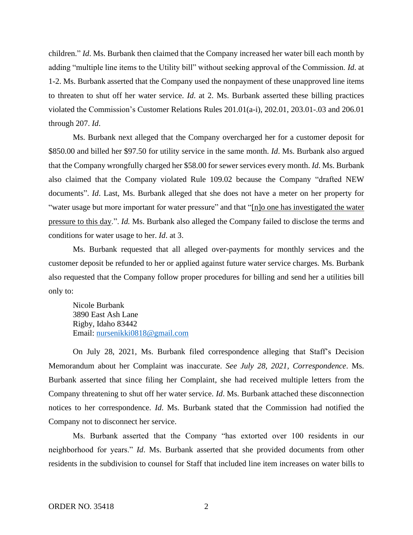children." *Id*. Ms. Burbank then claimed that the Company increased her water bill each month by adding "multiple line items to the Utility bill" without seeking approval of the Commission. *Id*. at 1-2. Ms. Burbank asserted that the Company used the nonpayment of these unapproved line items to threaten to shut off her water service. *Id*. at 2. Ms. Burbank asserted these billing practices violated the Commission's Customer Relations Rules 201.01(a-i), 202.01, 203.01-.03 and 206.01 through 207. *Id*.

Ms. Burbank next alleged that the Company overcharged her for a customer deposit for \$850.00 and billed her \$97.50 for utility service in the same month. *Id*. Ms. Burbank also argued that the Company wrongfully charged her \$58.00 for sewer services every month. *Id*. Ms. Burbank also claimed that the Company violated Rule 109.02 because the Company "drafted NEW documents". *Id*. Last, Ms. Burbank alleged that she does not have a meter on her property for "water usage but more important for water pressure" and that "[n]o one has investigated the water pressure to this day.". *Id.* Ms. Burbank also alleged the Company failed to disclose the terms and conditions for water usage to her. *Id*. at 3.

Ms. Burbank requested that all alleged over-payments for monthly services and the customer deposit be refunded to her or applied against future water service charges. Ms. Burbank also requested that the Company follow proper procedures for billing and send her a utilities bill only to:

Nicole Burbank 3890 East Ash Lane Rigby, Idaho 83442 Email: nursenikki0818@gmail.com

On July 28, 2021, Ms. Burbank filed correspondence alleging that Staff's Decision Memorandum about her Complaint was inaccurate. *See July 28, 2021, Correspondence*. Ms. Burbank asserted that since filing her Complaint, she had received multiple letters from the Company threatening to shut off her water service. *Id*. Ms. Burbank attached these disconnection notices to her correspondence. *Id*. Ms. Burbank stated that the Commission had notified the Company not to disconnect her service.

Ms. Burbank asserted that the Company "has extorted over 100 residents in our neighborhood for years." *Id*. Ms. Burbank asserted that she provided documents from other residents in the subdivision to counsel for Staff that included line item increases on water bills to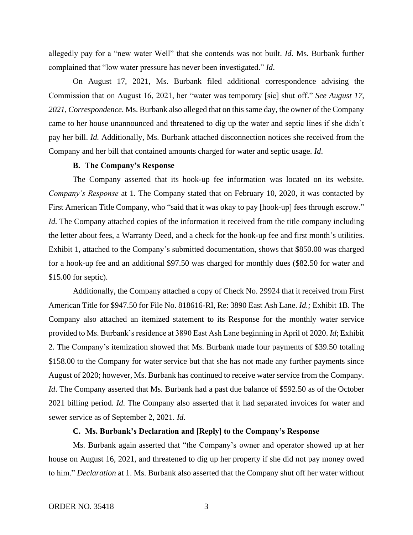allegedly pay for a "new water Well" that she contends was not built. *Id.* Ms. Burbank further complained that "low water pressure has never been investigated." *Id*.

On August 17, 2021, Ms. Burbank filed additional correspondence advising the Commission that on August 16, 2021, her "water was temporary [sic] shut off." *See August 17, 2021, Correspondence*. Ms. Burbank also alleged that on this same day, the owner of the Company came to her house unannounced and threatened to dig up the water and septic lines if she didn't pay her bill. *Id.* Additionally, Ms. Burbank attached disconnection notices she received from the Company and her bill that contained amounts charged for water and septic usage. *Id*.

#### **B. The Company's Response**

The Company asserted that its hook-up fee information was located on its website. *Company's Response* at 1. The Company stated that on February 10, 2020, it was contacted by First American Title Company, who "said that it was okay to pay [hook-up] fees through escrow." *Id.* The Company attached copies of the information it received from the title company including the letter about fees, a Warranty Deed, and a check for the hook-up fee and first month's utilities. Exhibit 1, attached to the Company's submitted documentation, shows that \$850.00 was charged for a hook-up fee and an additional \$97.50 was charged for monthly dues (\$82.50 for water and \$15.00 for septic).

Additionally, the Company attached a copy of Check No. 29924 that it received from First American Title for \$947.50 for File No. 818616-RI, Re: 3890 East Ash Lane. *Id.;* Exhibit 1B. The Company also attached an itemized statement to its Response for the monthly water service provided to Ms. Burbank's residence at 3890 East Ash Lane beginning in April of 2020. *Id*; Exhibit 2. The Company's itemization showed that Ms. Burbank made four payments of \$39.50 totaling \$158.00 to the Company for water service but that she has not made any further payments since August of 2020; however, Ms. Burbank has continued to receive water service from the Company. *Id*. The Company asserted that Ms. Burbank had a past due balance of \$592.50 as of the October 2021 billing period. *Id*. The Company also asserted that it had separated invoices for water and sewer service as of September 2, 2021. *Id*.

### **C. Ms. Burbank's Declaration and [Reply] to the Company's Response**

Ms. Burbank again asserted that "the Company's owner and operator showed up at her house on August 16, 2021, and threatened to dig up her property if she did not pay money owed to him." *Declaration* at 1. Ms. Burbank also asserted that the Company shut off her water without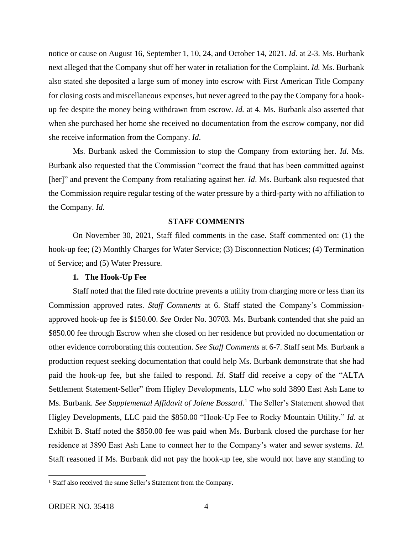notice or cause on August 16, September 1, 10, 24, and October 14, 2021. *Id.* at 2-3. Ms. Burbank next alleged that the Company shut off her water in retaliation for the Complaint. *Id.* Ms. Burbank also stated she deposited a large sum of money into escrow with First American Title Company for closing costs and miscellaneous expenses, but never agreed to the pay the Company for a hookup fee despite the money being withdrawn from escrow. *Id.* at 4. Ms. Burbank also asserted that when she purchased her home she received no documentation from the escrow company, nor did she receive information from the Company. *Id*.

Ms. Burbank asked the Commission to stop the Company from extorting her. *Id*. Ms. Burbank also requested that the Commission "correct the fraud that has been committed against [her]" and prevent the Company from retaliating against her. *Id*. Ms. Burbank also requested that the Commission require regular testing of the water pressure by a third-party with no affiliation to the Company. *Id*.

#### **STAFF COMMENTS**

On November 30, 2021, Staff filed comments in the case. Staff commented on: (1) the hook-up fee; (2) Monthly Charges for Water Service; (3) Disconnection Notices; (4) Termination of Service; and (5) Water Pressure.

#### **1. The Hook-Up Fee**

Staff noted that the filed rate doctrine prevents a utility from charging more or less than its Commission approved rates. *Staff Comments* at 6. Staff stated the Company's Commissionapproved hook-up fee is \$150.00. *See* Order No. 30703. Ms. Burbank contended that she paid an \$850.00 fee through Escrow when she closed on her residence but provided no documentation or other evidence corroborating this contention. *See Staff Comments* at 6-7. Staff sent Ms. Burbank a production request seeking documentation that could help Ms. Burbank demonstrate that she had paid the hook-up fee, but she failed to respond. *Id*. Staff did receive a copy of the "ALTA Settlement Statement-Seller" from Higley Developments, LLC who sold 3890 East Ash Lane to Ms. Burbank. *See Supplemental Affidavit of Jolene Bossard*. <sup>1</sup> The Seller's Statement showed that Higley Developments, LLC paid the \$850.00 "Hook-Up Fee to Rocky Mountain Utility." *Id*. at Exhibit B. Staff noted the \$850.00 fee was paid when Ms. Burbank closed the purchase for her residence at 3890 East Ash Lane to connect her to the Company's water and sewer systems. *Id.* Staff reasoned if Ms. Burbank did not pay the hook-up fee, she would not have any standing to

<sup>&</sup>lt;sup>1</sup> Staff also received the same Seller's Statement from the Company.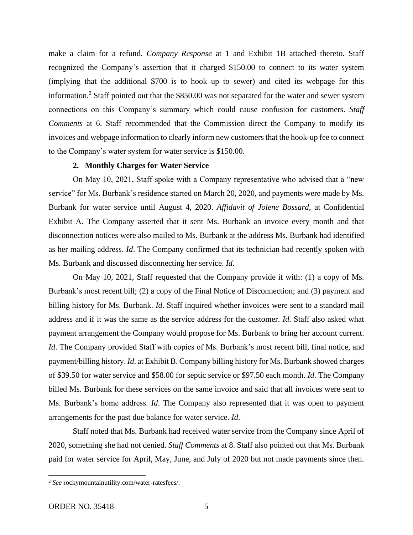make a claim for a refund. *Company Response* at 1 and Exhibit 1B attached thereto. Staff recognized the Company's assertion that it charged \$150.00 to connect to its water system (implying that the additional \$700 is to hook up to sewer) and cited its webpage for this information.<sup>2</sup> Staff pointed out that the \$850.00 was not separated for the water and sewer system connections on this Company's summary which could cause confusion for customers. *Staff Comments* at 6. Staff recommended that the Commission direct the Company to modify its invoices and webpage information to clearly inform new customers that the hook-up fee to connect to the Company's water system for water service is \$150.00.

#### **2. Monthly Charges for Water Service**

On May 10, 2021, Staff spoke with a Company representative who advised that a "new service" for Ms. Burbank's residence started on March 20, 2020, and payments were made by Ms. Burbank for water service until August 4, 2020. *Affidavit of Jolene Bossard*, at Confidential Exhibit A. The Company asserted that it sent Ms. Burbank an invoice every month and that disconnection notices were also mailed to Ms. Burbank at the address Ms. Burbank had identified as her mailing address. *Id*. The Company confirmed that its technician had recently spoken with Ms. Burbank and discussed disconnecting her service. *Id*.

On May 10, 2021, Staff requested that the Company provide it with: (1) a copy of Ms. Burbank's most recent bill; (2) a copy of the Final Notice of Disconnection; and (3) payment and billing history for Ms. Burbank. *Id*. Staff inquired whether invoices were sent to a standard mail address and if it was the same as the service address for the customer. *Id*. Staff also asked what payment arrangement the Company would propose for Ms. Burbank to bring her account current. *Id*. The Company provided Staff with copies of Ms. Burbank's most recent bill, final notice, and payment/billing history. *Id*. at Exhibit B. Company billing history for Ms. Burbank showed charges of \$39.50 for water service and \$58.00 for septic service or \$97.50 each month. *Id*. The Company billed Ms. Burbank for these services on the same invoice and said that all invoices were sent to Ms. Burbank's home address. *Id*. The Company also represented that it was open to payment arrangements for the past due balance for water service. *Id*.

Staff noted that Ms. Burbank had received water service from the Company since April of 2020, something she had not denied. *Staff Comments* at 8. Staff also pointed out that Ms. Burbank paid for water service for April, May, June, and July of 2020 but not made payments since then.

<sup>2</sup> *See* rockymountainutility.com/water-ratesfees/.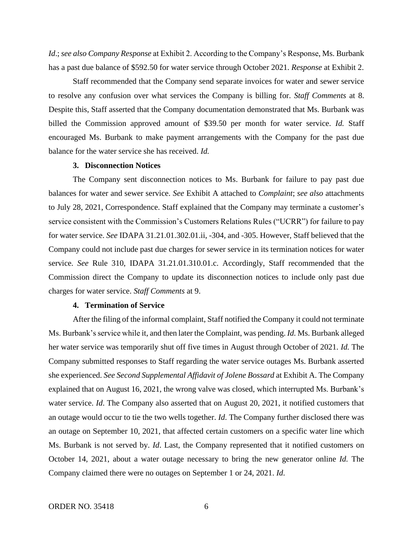*Id*.; *see also Company Response* at Exhibit 2. According to the Company's Response, Ms. Burbank has a past due balance of \$592.50 for water service through October 2021. *Response* at Exhibit 2.

Staff recommended that the Company send separate invoices for water and sewer service to resolve any confusion over what services the Company is billing for. *Staff Comments* at 8. Despite this, Staff asserted that the Company documentation demonstrated that Ms. Burbank was billed the Commission approved amount of \$39.50 per month for water service. *Id.* Staff encouraged Ms. Burbank to make payment arrangements with the Company for the past due balance for the water service she has received. *Id.*

#### **3. Disconnection Notices**

The Company sent disconnection notices to Ms. Burbank for failure to pay past due balances for water and sewer service. *See* Exhibit A attached to *Complaint*; *see also* attachments to July 28, 2021, Correspondence. Staff explained that the Company may terminate a customer's service consistent with the Commission's Customers Relations Rules ("UCRR") for failure to pay for water service. *See* IDAPA 31.21.01.302.01.ii, -304, and -305. However, Staff believed that the Company could not include past due charges for sewer service in its termination notices for water service. *See* Rule 310, IDAPA 31.21.01.310.01.c. Accordingly, Staff recommended that the Commission direct the Company to update its disconnection notices to include only past due charges for water service. *Staff Comments* at 9.

#### **4. Termination of Service**

After the filing of the informal complaint, Staff notified the Company it could not terminate Ms. Burbank's service while it, and then later the Complaint, was pending. *Id.* Ms. Burbank alleged her water service was temporarily shut off five times in August through October of 2021. *Id.* The Company submitted responses to Staff regarding the water service outages Ms. Burbank asserted she experienced. *See Second Supplemental Affidavit of Jolene Bossard* at Exhibit A. The Company explained that on August 16, 2021, the wrong valve was closed, which interrupted Ms. Burbank's water service. *Id*. The Company also asserted that on August 20, 2021, it notified customers that an outage would occur to tie the two wells together. *Id*. The Company further disclosed there was an outage on September 10, 2021, that affected certain customers on a specific water line which Ms. Burbank is not served by. *Id*. Last, the Company represented that it notified customers on October 14, 2021, about a water outage necessary to bring the new generator online *Id.* The Company claimed there were no outages on September 1 or 24, 2021. *Id*.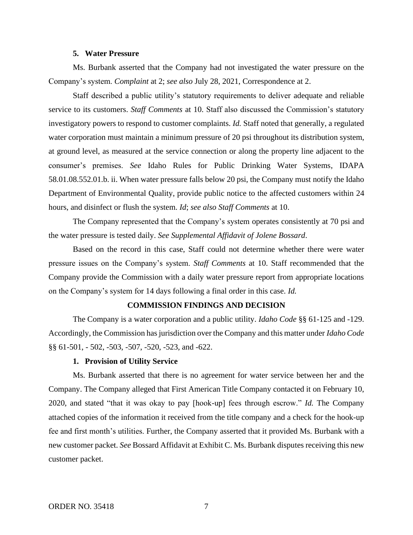#### **5. Water Pressure**

Ms. Burbank asserted that the Company had not investigated the water pressure on the Company's system. *Complaint* at 2; *see also* July 28, 2021, Correspondence at 2.

Staff described a public utility's statutory requirements to deliver adequate and reliable service to its customers. *Staff Comments* at 10. Staff also discussed the Commission's statutory investigatory powers to respond to customer complaints. *Id.* Staff noted that generally, a regulated water corporation must maintain a minimum pressure of 20 psi throughout its distribution system, at ground level, as measured at the service connection or along the property line adjacent to the consumer's premises. *See* Idaho Rules for Public Drinking Water Systems, IDAPA 58.01.08.552.01.b. ii. When water pressure falls below 20 psi, the Company must notify the Idaho Department of Environmental Quality, provide public notice to the affected customers within 24 hours, and disinfect or flush the system. *Id*; *see also Staff Comments* at 10.

The Company represented that the Company's system operates consistently at 70 psi and the water pressure is tested daily. *See Supplemental Affidavit of Jolene Bossard*.

Based on the record in this case, Staff could not determine whether there were water pressure issues on the Company's system. *Staff Comments* at 10. Staff recommended that the Company provide the Commission with a daily water pressure report from appropriate locations on the Company's system for 14 days following a final order in this case. *Id.*

#### **COMMISSION FINDINGS AND DECISION**

The Company is a water corporation and a public utility. *Idaho Code* §§ 61-125 and -129. Accordingly, the Commission has jurisdiction over the Company and this matter under *Idaho Code* §§ 61-501, - 502, -503, -507, -520, -523, and -622.

#### **1. Provision of Utility Service**

Ms. Burbank asserted that there is no agreement for water service between her and the Company. The Company alleged that First American Title Company contacted it on February 10, 2020, and stated "that it was okay to pay [hook-up] fees through escrow." *Id.* The Company attached copies of the information it received from the title company and a check for the hook-up fee and first month's utilities. Further, the Company asserted that it provided Ms. Burbank with a new customer packet. *See* Bossard Affidavit at Exhibit C. Ms. Burbank disputes receiving this new customer packet.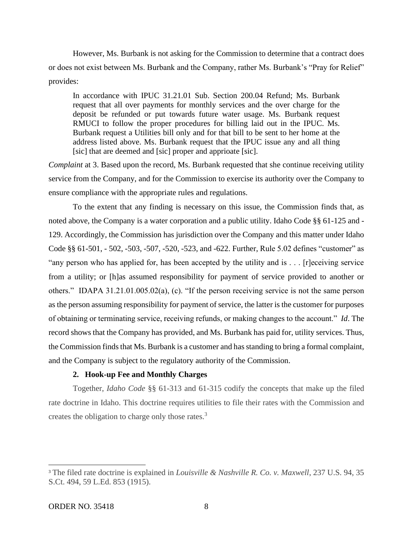However, Ms. Burbank is not asking for the Commission to determine that a contract does or does not exist between Ms. Burbank and the Company, rather Ms. Burbank's "Pray for Relief" provides:

In accordance with IPUC 31.21.01 Sub. Section 200.04 Refund; Ms. Burbank request that all over payments for monthly services and the over charge for the deposit be refunded or put towards future water usage. Ms. Burbank request RMUCI to follow the proper procedures for billing laid out in the IPUC. Ms. Burbank request a Utilities bill only and for that bill to be sent to her home at the address listed above. Ms. Burbank request that the IPUC issue any and all thing [sic] that are deemed and [sic] proper and apprioate [sic].

*Complaint* at 3. Based upon the record, Ms. Burbank requested that she continue receiving utility service from the Company, and for the Commission to exercise its authority over the Company to ensure compliance with the appropriate rules and regulations.

To the extent that any finding is necessary on this issue, the Commission finds that, as noted above, the Company is a water corporation and a public utility. Idaho Code §§ 61-125 and - 129. Accordingly, the Commission has jurisdiction over the Company and this matter under Idaho Code §§ 61-501, - 502, -503, -507, -520, -523, and -622. Further, Rule 5.02 defines "customer" as "any person who has applied for, has been accepted by the utility and is . . . [r]eceiving service from a utility; or [h]as assumed responsibility for payment of service provided to another or others." IDAPA 31.21.01.005.02(a), (c). "If the person receiving service is not the same person as the person assuming responsibility for payment of service, the latter is the customer for purposes of obtaining or terminating service, receiving refunds, or making changes to the account." *Id*. The record shows that the Company has provided, and Ms. Burbank has paid for, utility services. Thus, the Commission finds that Ms. Burbank is a customer and hasstanding to bring a formal complaint, and the Company is subject to the regulatory authority of the Commission.

### **2. Hook-up Fee and Monthly Charges**

Together, *Idaho Code* §§ 61-313 and 61-315 codify the concepts that make up the filed rate doctrine in Idaho. This doctrine requires utilities to file their rates with the Commission and creates the obligation to charge only those rates. $3$ 

<sup>3</sup> The filed rate doctrine is explained in *Louisville & Nashville R. Co. v. Maxwell*, 237 U.S. 94, 35 S.Ct. 494, 59 L.Ed. 853 (1915).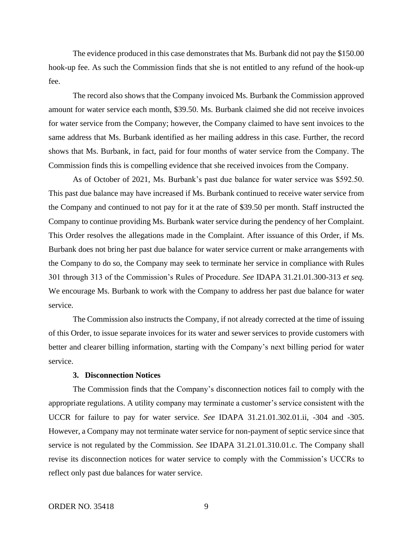The evidence produced in this case demonstrates that Ms. Burbank did not pay the \$150.00 hook-up fee. As such the Commission finds that she is not entitled to any refund of the hook-up fee.

The record also shows that the Company invoiced Ms. Burbank the Commission approved amount for water service each month, \$39.50. Ms. Burbank claimed she did not receive invoices for water service from the Company; however, the Company claimed to have sent invoices to the same address that Ms. Burbank identified as her mailing address in this case. Further, the record shows that Ms. Burbank, in fact, paid for four months of water service from the Company. The Commission finds this is compelling evidence that she received invoices from the Company.

As of October of 2021, Ms. Burbank's past due balance for water service was \$592.50. This past due balance may have increased if Ms. Burbank continued to receive water service from the Company and continued to not pay for it at the rate of \$39.50 per month. Staff instructed the Company to continue providing Ms. Burbank water service during the pendency of her Complaint. This Order resolves the allegations made in the Complaint. After issuance of this Order, if Ms. Burbank does not bring her past due balance for water service current or make arrangements with the Company to do so, the Company may seek to terminate her service in compliance with Rules 301 through 313 of the Commission's Rules of Procedure. *See* IDAPA 31.21.01.300-313 *et seq.*  We encourage Ms. Burbank to work with the Company to address her past due balance for water service.

The Commission also instructs the Company, if not already corrected at the time of issuing of this Order, to issue separate invoices for its water and sewer services to provide customers with better and clearer billing information, starting with the Company's next billing period for water service.

### **3. Disconnection Notices**

The Commission finds that the Company's disconnection notices fail to comply with the appropriate regulations. A utility company may terminate a customer's service consistent with the UCCR for failure to pay for water service. *See* IDAPA 31.21.01.302.01.ii, -304 and -305. However, a Company may not terminate water service for non-payment of septic service since that service is not regulated by the Commission. *See* IDAPA 31.21.01.310.01.c. The Company shall revise its disconnection notices for water service to comply with the Commission's UCCRs to reflect only past due balances for water service.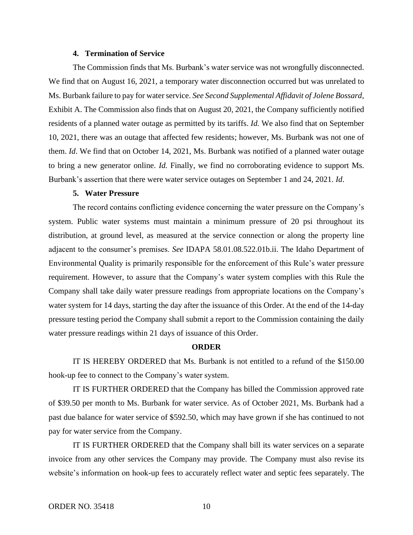#### **4. Termination of Service**

The Commission finds that Ms. Burbank's water service was not wrongfully disconnected. We find that on August 16, 2021, a temporary water disconnection occurred but was unrelated to Ms. Burbank failure to pay for water service. *See Second Supplemental Affidavit of Jolene Bossard*, Exhibit A. The Commission also finds that on August 20, 2021, the Company sufficiently notified residents of a planned water outage as permitted by its tariffs. *Id.* We also find that on September 10, 2021, there was an outage that affected few residents; however, Ms. Burbank was not one of them. *Id*. We find that on October 14, 2021, Ms. Burbank was notified of a planned water outage to bring a new generator online. *Id.* Finally, we find no corroborating evidence to support Ms. Burbank's assertion that there were water service outages on September 1 and 24, 2021. *Id*.

### **5. Water Pressure**

The record contains conflicting evidence concerning the water pressure on the Company's system. Public water systems must maintain a minimum pressure of 20 psi throughout its distribution, at ground level, as measured at the service connection or along the property line adjacent to the consumer's premises. *See* IDAPA 58.01.08.522.01b.ii. The Idaho Department of Environmental Quality is primarily responsible for the enforcement of this Rule's water pressure requirement. However, to assure that the Company's water system complies with this Rule the Company shall take daily water pressure readings from appropriate locations on the Company's water system for 14 days, starting the day after the issuance of this Order. At the end of the 14-day pressure testing period the Company shall submit a report to the Commission containing the daily water pressure readings within 21 days of issuance of this Order.

# **ORDER**

IT IS HEREBY ORDERED that Ms. Burbank is not entitled to a refund of the \$150.00 hook-up fee to connect to the Company's water system.

IT IS FURTHER ORDERED that the Company has billed the Commission approved rate of \$39.50 per month to Ms. Burbank for water service. As of October 2021, Ms. Burbank had a past due balance for water service of \$592.50, which may have grown if she has continued to not pay for water service from the Company.

IT IS FURTHER ORDERED that the Company shall bill its water services on a separate invoice from any other services the Company may provide. The Company must also revise its website's information on hook-up fees to accurately reflect water and septic fees separately. The